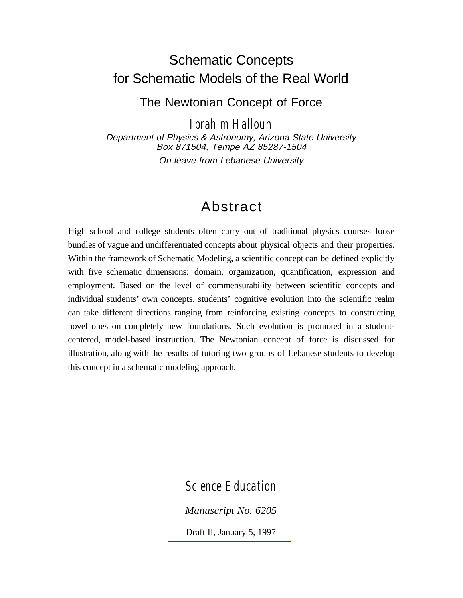# Schematic Concepts for Schematic Models of the Real World

## The Newtonian Concept of Force

*Ibrahim Halloun* Department of Physics & Astronomy, Arizona State University Box 871504, Tempe AZ 85287-1504 On leave from Lebanese University

# Abstract

High school and college students often carry out of traditional physics courses loose bundles of vague and undifferentiated concepts about physical objects and their properties. Within the framework of Schematic Modeling, a scientific concept can be defined explicitly with five schematic dimensions: domain, organization, quantification, expression and employment. Based on the level of commensurability between scientific concepts and individual students' own concepts, students' cognitive evolution into the scientific realm can take different directions ranging from reinforcing existing concepts to constructing novel ones on completely new foundations. Such evolution is promoted in a studentcentered, model-based instruction. The Newtonian concept of force is discussed for illustration, along with the results of tutoring two groups of Lebanese students to develop this concept in a schematic modeling approach.

*Science Education*

*Manuscript No. 6205*

Draft II, January 5, 1997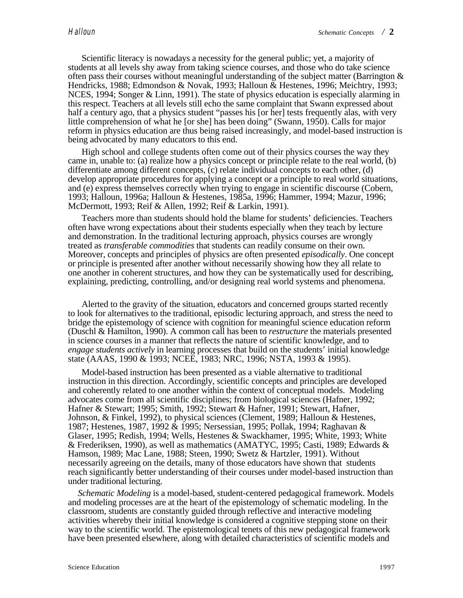Scientific literacy is nowadays a necessity for the general public; yet, a majority of students at all levels shy away from taking science courses, and those who do take science often pass their courses without meaningful understanding of the subject matter (Barrington  $\&$ Hendricks, 1988; Edmondson & Novak, 1993; Halloun & Hestenes, 1996; Meichtry, 1993; NCES, 1994; Songer & Linn, 1991). The state of physics education is especially alarming in this respect. Teachers at all levels still echo the same complaint that Swann expressed about half a century ago, that a physics student "passes his [or her] tests frequently alas, with very little comprehension of what he [or she] has been doing" (Swann, 1950). Calls for major reform in physics education are thus being raised increasingly, and model-based instruction is being advocated by many educators to this end.

High school and college students often come out of their physics courses the way they came in, unable to: (a) realize how a physics concept or principle relate to the real world, (b) differentiate among different concepts, (c) relate individual concepts to each other, (d) develop appropriate procedures for applying a concept or a principle to real world situations, and (e) express themselves correctly when trying to engage in scientific discourse (Cobern, 1993; Halloun, 1996a; Halloun & Hestenes, 1985a, 1996; Hammer, 1994; Mazur, 1996; McDermott, 1993; Reif & Allen, 1992; Reif & Larkin, 1991).

Teachers more than students should hold the blame for students' deficiencies. Teachers often have wrong expectations about their students especially when they teach by lecture and demonstration. In the traditional lecturing approach, physics courses are wrongly treated as *transferable commodities* that students can readily consume on their own. Moreover, concepts and principles of physics are often presented *episodically*. One concept or principle is presented after another without necessarily showing how they all relate to one another in coherent structures, and how they can be systematically used for describing, explaining, predicting, controlling, and/or designing real world systems and phenomena.

Alerted to the gravity of the situation, educators and concerned groups started recently to look for alternatives to the traditional, episodic lecturing approach, and stress the need to bridge the epistemology of science with cognition for meaningful science education reform (Duschl & Hamilton, 1990). A common call has been to *restructure* the materials presented in science courses in a manner that reflects the nature of scientific knowledge, and to *engage students actively* in learning processes that build on the students' initial knowledge state (AAAS, 1990 & 1993; NCEE, 1983; NRC, 1996; NSTA, 1993 & 1995).

Model-based instruction has been presented as a viable alternative to traditional instruction in this direction. Accordingly, scientific concepts and principles are developed and coherently related to one another within the context of conceptual models. Modeling advocates come from all scientific disciplines; from biological sciences (Hafner, 1992; Hafner & Stewart; 1995; Smith, 1992; Stewart & Hafner, 1991; Stewart, Hafner, Johnson, & Finkel, 1992), to physical sciences (Clement, 1989; Halloun & Hestenes, 1987; Hestenes, 1987, 1992 & 1995; Nersessian, 1995; Pollak, 1994; Raghavan & Glaser, 1995; Redish, 1994; Wells, Hestenes & Swackhamer, 1995; White, 1993; White & Frederiksen, 1990), as well as mathematics (AMATYC, 1995; Casti, 1989; Edwards & Hamson, 1989; Mac Lane, 1988; Steen, 1990; Swetz & Hartzler, 1991). Without necessarily agreeing on the details, many of those educators have shown that students reach significantly better understanding of their courses under model-based instruction than under traditional lecturing.

*Schematic Modeling* is a model-based, student-centered pedagogical framework. Models and modeling processes are at the heart of the epistemology of schematic modeling. In the classroom, students are constantly guided through reflective and interactive modeling activities whereby their initial knowledge is considered a cognitive stepping stone on their way to the scientific world. The epistemological tenets of this new pedagogical framework have been presented elsewhere, along with detailed characteristics of scientific models and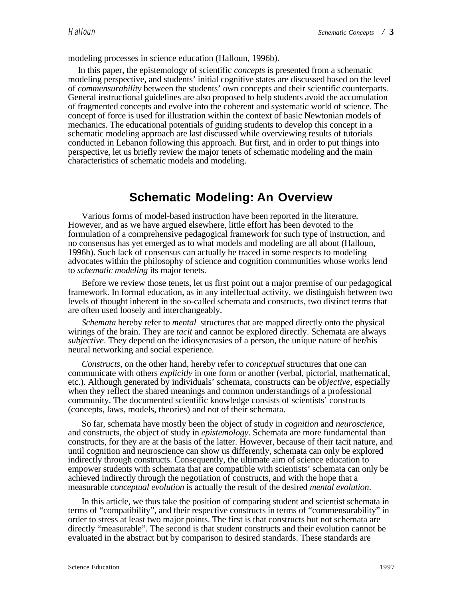modeling processes in science education (Halloun, 1996b).

In this paper, the epistemology of scientific *concepts* is presented from a schematic modeling perspective, and students' initial cognitive states are discussed based on the level of *commensurability* between the students' own concepts and their scientific counterparts. General instructional guidelines are also proposed to help students avoid the accumulation of fragmented concepts and evolve into the coherent and systematic world of science. The concept of force is used for illustration within the context of basic Newtonian models of mechanics. The educational potentials of guiding students to develop this concept in a schematic modeling approach are last discussed while overviewing results of tutorials conducted in Lebanon following this approach. But first, and in order to put things into perspective, let us briefly review the major tenets of schematic modeling and the main characteristics of schematic models and modeling.

# **Schematic Modeling: An Overview**

Various forms of model-based instruction have been reported in the literature. However, and as we have argued elsewhere, little effort has been devoted to the formulation of a comprehensive pedagogical framework for such type of instruction, and no consensus has yet emerged as to what models and modeling are all about (Halloun, 1996b). Such lack of consensus can actually be traced in some respects to modeling advocates within the philosophy of science and cognition communities whose works lend to *schematic modeling* its major tenets.

Before we review those tenets, let us first point out a major premise of our pedagogical framework. In formal education, as in any intellectual activity, we distinguish between two levels of thought inherent in the so-called schemata and constructs, two distinct terms that are often used loosely and interchangeably.

*Schemata* hereby refer to *mental* structures that are mapped directly onto the physical wirings of the brain. They are *tacit* and cannot be explored directly. Schemata are always *subjective*. They depend on the idiosyncrasies of a person, the unique nature of her/his neural networking and social experience.

*Constructs*, on the other hand, hereby refer to *conceptual* structures that one can communicate with others *explicitly* in one form or another (verbal, pictorial, mathematical, etc.). Although generated by individuals' schemata, constructs can be *objective*, especially when they reflect the shared meanings and common understandings of a professional community. The documented scientific knowledge consists of scientists' constructs (concepts, laws, models, theories) and not of their schemata.

So far, schemata have mostly been the object of study in *cognition* and *neuroscience*, and constructs, the object of study in *epistemology*. Schemata are more fundamental than constructs, for they are at the basis of the latter. However, because of their tacit nature, and until cognition and neuroscience can show us differently, schemata can only be explored indirectly through constructs. Consequently, the ultimate aim of science education to empower students with schemata that are compatible with scientists' schemata can only be achieved indirectly through the negotiation of constructs, and with the hope that a measurable *conceptual evolution* is actually the result of the desired *mental evolution*.

In this article, we thus take the position of comparing student and scientist schemata in terms of "compatibility", and their respective constructs in terms of "commensurability" in order to stress at least two major points. The first is that constructs but not schemata are directly "measurable". The second is that student constructs and their evolution cannot be evaluated in the abstract but by comparison to desired standards. These standards are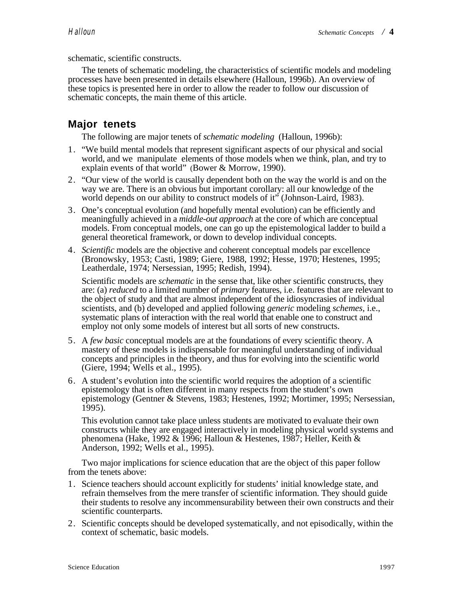schematic, scientific constructs.

The tenets of schematic modeling, the characteristics of scientific models and modeling processes have been presented in details elsewhere (Halloun, 1996b). An overview of these topics is presented here in order to allow the reader to follow our discussion of schematic concepts, the main theme of this article.

## **Major tenets**

The following are major tenets of *schematic modeling* (Halloun, 1996b):

- 1. "We build mental models that represent significant aspects of our physical and social world, and we manipulate elements of those models when we think, plan, and try to explain events of that world" (Bower & Morrow, 1990).
- 2. "Our view of the world is causally dependent both on the way the world is and on the way we are. There is an obvious but important corollary: all our knowledge of the world depends on our ability to construct models of it" (Johnson-Laird, 1983).
- 3. One's conceptual evolution (and hopefully mental evolution) can be efficiently and meaningfully achieved in a *middle-out approach* at the core of which are conceptual models. From conceptual models, one can go up the epistemological ladder to build a general theoretical framework, or down to develop individual concepts.
- 4. *Scientific* models are the objective and coherent conceptual models par excellence (Bronowsky, 1953; Casti, 1989; Giere, 1988, 1992; Hesse, 1970; Hestenes, 1995; Leatherdale, 1974; Nersessian, 1995; Redish, 1994).

Scientific models are *schematic* in the sense that, like other scientific constructs, they are: (a) *reduced* to a limited number of *primary* features, i.e. features that are relevant to the object of study and that are almost independent of the idiosyncrasies of individual scientists, and (b) developed and applied following *generic* modeling *schemes,* i.e., systematic plans of interaction with the real world that enable one to construct and employ not only some models of interest but all sorts of new constructs.

- 5. A *few basic* conceptual models are at the foundations of every scientific theory. A mastery of these models is indispensable for meaningful understanding of individual concepts and principles in the theory, and thus for evolving into the scientific world (Giere, 1994; Wells et al., 1995).
- 6. A student's evolution into the scientific world requires the adoption of a scientific epistemology that is often different in many respects from the student's own epistemology (Gentner & Stevens, 1983; Hestenes, 1992; Mortimer, 1995; Nersessian, 1995)*.*

This evolution cannot take place unless students are motivated to evaluate their own constructs while they are engaged interactively in modeling physical world systems and phenomena (Hake, 1992 & 1996; Halloun & Hestenes, 1987; Heller, Keith & Anderson, 1992; Wells et al., 1995).

Two major implications for science education that are the object of this paper follow from the tenets above:

- 1. Science teachers should account explicitly for students' initial knowledge state, and refrain themselves from the mere transfer of scientific information. They should guide their students to resolve any incommensurability between their own constructs and their scientific counterparts.
- 2. Scientific concepts should be developed systematically, and not episodically, within the context of schematic, basic models.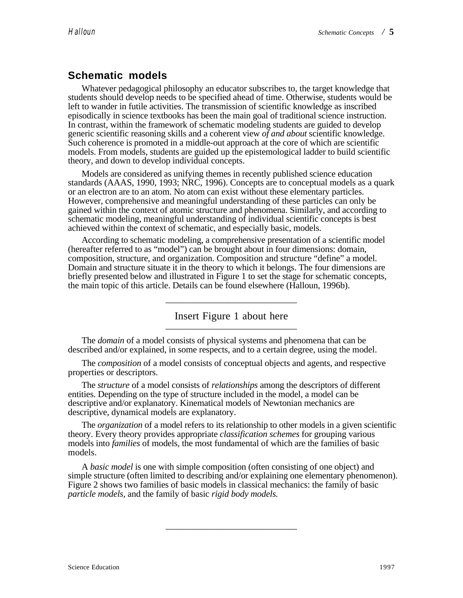## **Schematic models**

Whatever pedagogical philosophy an educator subscribes to, the target knowledge that students should develop needs to be specified ahead of time. Otherwise, students would be left to wander in futile activities. The transmission of scientific knowledge as inscribed episodically in science textbooks has been the main goal of traditional science instruction. In contrast, within the framework of schematic modeling students are guided to develop generic scientific reasoning skills and a coherent view *of and about* scientific knowledge. Such coherence is promoted in a middle-out approach at the core of which are scientific models. From models, students are guided up the epistemological ladder to build scientific theory, and down to develop individual concepts.

Models are considered as unifying themes in recently published science education standards (AAAS, 1990, 1993; NRC, 1996). Concepts are to conceptual models as a quark or an electron are to an atom. No atom can exist without these elementary particles. However, comprehensive and meaningful understanding of these particles can only be gained within the context of atomic structure and phenomena. Similarly, and according to schematic modeling, meaningful understanding of individual scientific concepts is best achieved within the context of schematic, and especially basic, models.

According to schematic modeling, a comprehensive presentation of a scientific model (hereafter referred to as "model") can be brought about in four dimensions: domain, composition, structure, and organization. Composition and structure "define" a model. Domain and structure situate it in the theory to which it belongs. The four dimensions are briefly presented below and illustrated in Figure 1 to set the stage for schematic concepts, the main topic of this article. Details can be found elsewhere (Halloun, 1996b).

> ––––––––––––––––––––––––––––– Insert Figure 1 about here –––––––––––––––––––––––––––––

The *domain* of a model consists of physical systems and phenomena that can be described and/or explained, in some respects, and to a certain degree, using the model*.*

The *composition* of a model consists of conceptual objects and agents, and respective properties or descriptors.

The *structure* of a model consists of *relationships* among the descriptors of different entities. Depending on the type of structure included in the model, a model can be descriptive and/or explanatory. Kinematical models of Newtonian mechanics are descriptive, dynamical models are explanatory.

The *organization* of a model refers to its relationship to other models in a given scientific theory. Every theory provides appropriate *classification schemes* for grouping various models into *families* of models, the most fundamental of which are the families of basic models.

A *basic model* is one with simple composition (often consisting of one object) and simple structure (often limited to describing and/or explaining one elementary phenomenon). Figure 2 shows two families of basic models in classical mechanics: the family of basic *particle models,* and the family of basic *rigid body models.*

–––––––––––––––––––––––––––––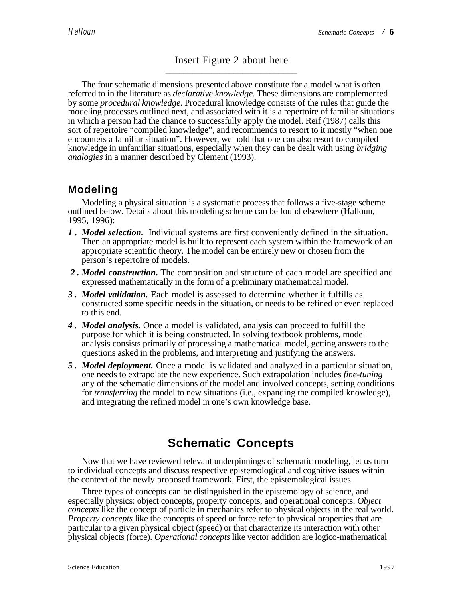## Insert Figure 2 about here –––––––––––––––––––––––––––––

The four schematic dimensions presented above constitute for a model what is often referred to in the literature as *declarative knowledge*. These dimensions are complemented by some *procedural knowledge*. Procedural knowledge consists of the rules that guide the modeling processes outlined next, and associated with it is a repertoire of familiar situations in which a person had the chance to successfully apply the model. Reif (1987) calls this sort of repertoire "compiled knowledge", and recommends to resort to it mostly "when one encounters a familiar situation". However, we hold that one can also resort to compiled knowledge in unfamiliar situations, especially when they can be dealt with using *bridging analogies* in a manner described by Clement (1993).

## **Modeling**

Modeling a physical situation is a systematic process that follows a five-stage scheme outlined below. Details about this modeling scheme can be found elsewhere (Halloun, 1995, 1996):

- *1 . Model selection.* Individual systems are first conveniently defined in the situation. Then an appropriate model is built to represent each system within the framework of an appropriate scientific theory. The model can be entirely new or chosen from the person's repertoire of models.
- *2 . Model construction.* The composition and structure of each model are specified and expressed mathematically in the form of a preliminary mathematical model.
- *3 . Model validation.* Each model is assessed to determine whether it fulfills as constructed some specific needs in the situation, or needs to be refined or even replaced to this end.
- *4 . Model analysis.* Once a model is validated, analysis can proceed to fulfill the purpose for which it is being constructed. In solving textbook problems, model analysis consists primarily of processing a mathematical model, getting answers to the questions asked in the problems, and interpreting and justifying the answers.
- *5 . Model deployment.* Once a model is validated and analyzed in a particular situation, one needs to extrapolate the new experience. Such extrapolation includes *fine-tuning* any of the schematic dimensions of the model and involved concepts, setting conditions for *transferring* the model to new situations (i.e., expanding the compiled knowledge), and integrating the refined model in one's own knowledge base.

# **Schematic Concepts**

Now that we have reviewed relevant underpinnings of schematic modeling, let us turn to individual concepts and discuss respective epistemological and cognitive issues within the context of the newly proposed framework. First, the epistemological issues.

Three types of concepts can be distinguished in the epistemology of science, and especially physics: object concepts, property concepts, and operational concepts. *Object concepts* like the concept of particle in mechanics refer to physical objects in the real world. *Property concepts* like the concepts of speed or force refer to physical properties that are particular to a given physical object (speed) or that characterize its interaction with other physical objects (force). *Operational concepts* like vector addition are logico-mathematical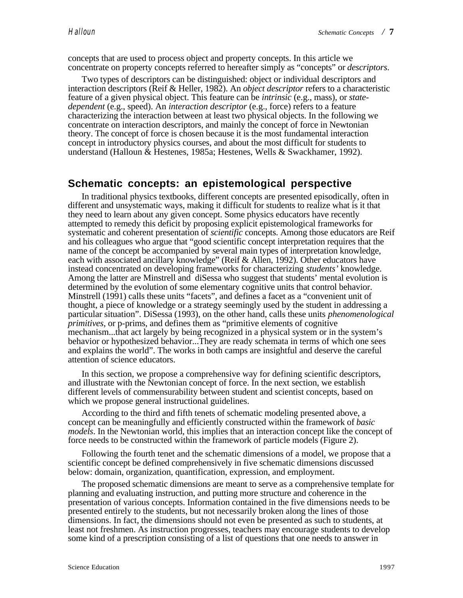concepts that are used to process object and property concepts. In this article we concentrate on property concepts referred to hereafter simply as "concepts" or *descriptors*.

Two types of descriptors can be distinguished: object or individual descriptors and interaction descriptors (Reif & Heller, 1982). An *object descriptor* refers to a characteristic feature of a given physical object. This feature can be *intrinsic* (e.g., mass), or *statedependent* (e.g., speed). An *interaction descriptor* (e.g., force) refers to a feature characterizing the interaction between at least two physical objects. In the following we concentrate on interaction descriptors, and mainly the concept of force in Newtonian theory. The concept of force is chosen because it is the most fundamental interaction concept in introductory physics courses, and about the most difficult for students to understand (Halloun & Hestenes, 1985a; Hestenes, Wells & Swackhamer, 1992).

## **Schematic concepts: an epistemological perspective**

In traditional physics textbooks, different concepts are presented episodically, often in different and unsystematic ways, making it difficult for students to realize what is it that they need to learn about any given concept. Some physics educators have recently attempted to remedy this deficit by proposing explicit epistemological frameworks for systematic and coherent presentation of *scientific* concepts. Among those educators are Reif and his colleagues who argue that "good scientific concept interpretation requires that the name of the concept be accompanied by several main types of interpretation knowledge, each with associated ancillary knowledge" (Reif & Allen, 1992). Other educators have instead concentrated on developing frameworks for characterizing *students'* knowledge. Among the latter are Minstrell and diSessa who suggest that students' mental evolution is determined by the evolution of some elementary cognitive units that control behavior. Minstrell (1991) calls these units "facets", and defines a facet as a "convenient unit of thought, a piece of knowledge or a strategy seemingly used by the student in addressing a particular situation". DiSessa (1993), on the other hand, calls these units *phenomenological primitives*, or p-prims, and defines them as "primitive elements of cognitive mechanism...that act largely by being recognized in a physical system or in the system's behavior or hypothesized behavior...They are ready schemata in terms of which one sees and explains the world". The works in both camps are insightful and deserve the careful attention of science educators.

In this section, we propose a comprehensive way for defining scientific descriptors, and illustrate with the Newtonian concept of force. In the next section, we establish different levels of commensurability between student and scientist concepts, based on which we propose general instructional guidelines.

According to the third and fifth tenets of schematic modeling presented above, a concept can be meaningfully and efficiently constructed within the framework of *basic models*. In the Newtonian world, this implies that an interaction concept like the concept of force needs to be constructed within the framework of particle models (Figure 2).

Following the fourth tenet and the schematic dimensions of a model, we propose that a scientific concept be defined comprehensively in five schematic dimensions discussed below: domain, organization, quantification, expression, and employment.

The proposed schematic dimensions are meant to serve as a comprehensive template for planning and evaluating instruction, and putting more structure and coherence in the presentation of various concepts. Information contained in the five dimensions needs to be presented entirely to the students, but not necessarily broken along the lines of those dimensions. In fact, the dimensions should not even be presented as such to students, at least not freshmen. As instruction progresses, teachers may encourage students to develop some kind of a prescription consisting of a list of questions that one needs to answer in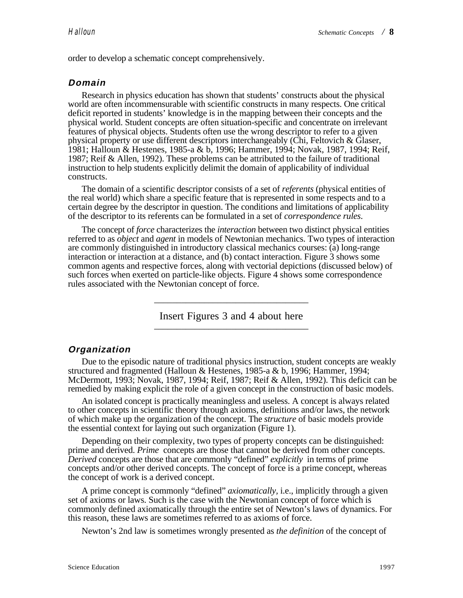order to develop a schematic concept comprehensively.

#### **Domain**

Research in physics education has shown that students' constructs about the physical world are often incommensurable with scientific constructs in many respects. One critical deficit reported in students' knowledge is in the mapping between their concepts and the physical world. Student concepts are often situation-specific and concentrate on irrelevant features of physical objects. Students often use the wrong descriptor to refer to a given physical property or use different descriptors interchangeably (Chi, Feltovich & Glaser, 1981; Halloun & Hestenes, 1985-a & b, 1996; Hammer, 1994; Novak, 1987, 1994; Reif, 1987; Reif & Allen, 1992). These problems can be attributed to the failure of traditional instruction to help students explicitly delimit the domain of applicability of individual constructs.

The domain of a scientific descriptor consists of a set of *referents* (physical entities of the real world) which share a specific feature that is represented in some respects and to a certain degree by the descriptor in question. The conditions and limitations of applicability of the descriptor to its referents can be formulated in a set of *correspondence rules*.

The concept of *force* characterizes the *interaction* between two distinct physical entities referred to as *object* and *agent* in models of Newtonian mechanics. Two types of interaction are commonly distinguished in introductory classical mechanics courses: (a) long-range interaction or interaction at a distance, and (b) contact interaction. Figure 3 shows some common agents and respective forces, along with vectorial depictions (discussed below) of such forces when exerted on particle-like objects. Figure 4 shows some correspondence rules associated with the Newtonian concept of force.

> –––––––––––––––––––––––––––––––––– Insert Figures 3 and 4 about here ––––––––––––––––––––––––––––––––––

### **Organization**

Due to the episodic nature of traditional physics instruction, student concepts are weakly structured and fragmented (Halloun & Hestenes, 1985-a & b, 1996; Hammer, 1994; McDermott, 1993; Novak, 1987, 1994; Reif, 1987; Reif & Allen, 1992). This deficit can be remedied by making explicit the role of a given concept in the construction of basic models.

An isolated concept is practically meaningless and useless. A concept is always related to other concepts in scientific theory through axioms, definitions and/or laws, the network of which make up the organization of the concept. The *structure* of basic models provide the essential context for laying out such organization (Figure 1).

Depending on their complexity, two types of property concepts can be distinguished: prime and derived. *Prime* concepts are those that cannot be derived from other concepts. *Derived* concepts are those that are commonly "defined" *explicitly* in terms of prime concepts and/or other derived concepts. The concept of force is a prime concept, whereas the concept of work is a derived concept.

A prime concept is commonly "defined" *axiomatically,* i.e., implicitly through a given set of axioms or laws. Such is the case with the Newtonian concept of force which is commonly defined axiomatically through the entire set of Newton's laws of dynamics. For this reason, these laws are sometimes referred to as axioms of force.

Newton's 2nd law is sometimes wrongly presented as *the definition* of the concept of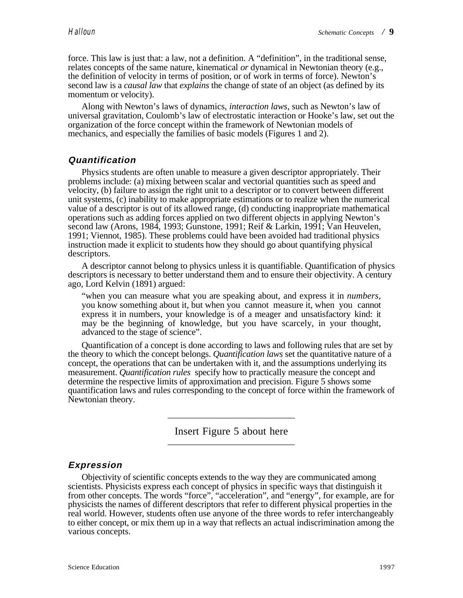force. This law is just that: a law, not a definition. A "definition", in the traditional sense, relates concepts of the same nature, kinematical *or* dynamical in Newtonian theory (e.g., the definition of velocity in terms of position, or of work in terms of force). Newton's second law is a *causal law* that *explains* the change of state of an object (as defined by its momentum or velocity).

Along with Newton's laws of dynamics, *interaction laws*, such as Newton's law of universal gravitation, Coulomb's law of electrostatic interaction or Hooke's law, set out the organization of the force concept within the framework of Newtonian models of mechanics, and especially the families of basic models (Figures 1 and 2).

### **Quantification**

Physics students are often unable to measure a given descriptor appropriately. Their problems include: (a) mixing between scalar and vectorial quantities such as speed and velocity, (b) failure to assign the right unit to a descriptor or to convert between different unit systems, (c) inability to make appropriate estimations or to realize when the numerical value of a descriptor is out of its allowed range, (d) conducting inappropriate mathematical operations such as adding forces applied on two different objects in applying Newton's second law (Arons, 1984, 1993; Gunstone, 1991; Reif & Larkin, 1991; Van Heuvelen, 1991; Viennot, 1985). These problems could have been avoided had traditional physics instruction made it explicit to students how they should go about quantifying physical descriptors.

A descriptor cannot belong to physics unless it is quantifiable. Quantification of physics descriptors is necessary to better understand them and to ensure their objectivity. A century ago, Lord Kelvin (1891) argued:

"when you can measure what you are speaking about, and express it in *numbers*, you know something about it, but when you cannot measure it, when you cannot express it in numbers, your knowledge is of a meager and unsatisfactory kind: it may be the beginning of knowledge, but you have scarcely, in your thought, advanced to the stage of science".

Quantification of a concept is done according to laws and following rules that are set by the theory to which the concept belongs. *Quantification laws* set the quantitative nature of a concept, the operations that can be undertaken with it, and the assumptions underlying its measurement. *Quantification rules* specify how to practically measure the concept and determine the respective limits of approximation and precision. Figure 5 shows some quantification laws and rules corresponding to the concept of force within the framework of Newtonian theory.

> –––––––––––––––––––––––––––– Insert Figure 5 about here ––––––––––––––––––––––––––––

### **Expression**

Objectivity of scientific concepts extends to the way they are communicated among scientists. Physicists express each concept of physics in specific ways that distinguish it from other concepts. The words "force", "acceleration", and "energy", for example, are for physicists the names of different descriptors that refer to different physical properties in the real world. However, students often use anyone of the three words to refer interchangeably to either concept, or mix them up in a way that reflects an actual indiscrimination among the various concepts.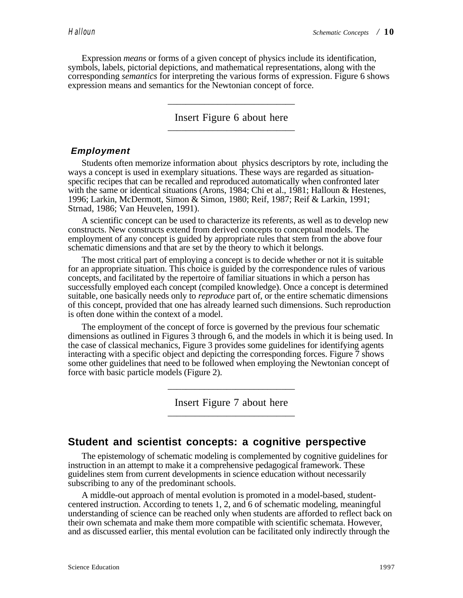Expression *means* or forms of a given concept of physics include its identification, symbols, labels, pictorial depictions, and mathematical representations, along with the corresponding *semantics* for interpreting the various forms of expression. Figure 6 shows expression means and semantics for the Newtonian concept of force.

## –––––––––––––––––––––––––––– Insert Figure 6 about here ––––––––––––––––––––––––––––

### **Employment**

Students often memorize information about physics descriptors by rote, including the ways a concept is used in exemplary situations. These ways are regarded as situationspecific recipes that can be recalled and reproduced automatically when confronted later with the same or identical situations (Arons, 1984; Chi et al., 1981; Halloun & Hestenes, 1996; Larkin, McDermott, Simon & Simon, 1980; Reif, 1987; Reif & Larkin, 1991; Strnad, 1986; Van Heuvelen, 1991).

A scientific concept can be used to characterize its referents, as well as to develop new constructs. New constructs extend from derived concepts to conceptual models. The employment of any concept is guided by appropriate rules that stem from the above four schematic dimensions and that are set by the theory to which it belongs.

The most critical part of employing a concept is to decide whether or not it is suitable for an appropriate situation. This choice is guided by the correspondence rules of various concepts, and facilitated by the repertoire of familiar situations in which a person has successfully employed each concept (compiled knowledge). Once a concept is determined suitable, one basically needs only to *reproduce* part of, or the entire schematic dimensions of this concept, provided that one has already learned such dimensions. Such reproduction is often done within the context of a model.

The employment of the concept of force is governed by the previous four schematic dimensions as outlined in Figures 3 through 6, and the models in which it is being used. In the case of classical mechanics, Figure 3 provides some guidelines for identifying agents interacting with a specific object and depicting the corresponding forces. Figure 7 shows some other guidelines that need to be followed when employing the Newtonian concept of force with basic particle models (Figure 2).

> –––––––––––––––––––––––––––– Insert Figure 7 about here ––––––––––––––––––––––––––––

## **Student and scientist concepts: a cognitive perspective**

The epistemology of schematic modeling is complemented by cognitive guidelines for instruction in an attempt to make it a comprehensive pedagogical framework. These guidelines stem from current developments in science education without necessarily subscribing to any of the predominant schools.

A middle-out approach of mental evolution is promoted in a model-based, studentcentered instruction. According to tenets 1, 2, and 6 of schematic modeling, meaningful understanding of science can be reached only when students are afforded to reflect back on their own schemata and make them more compatible with scientific schemata. However, and as discussed earlier, this mental evolution can be facilitated only indirectly through the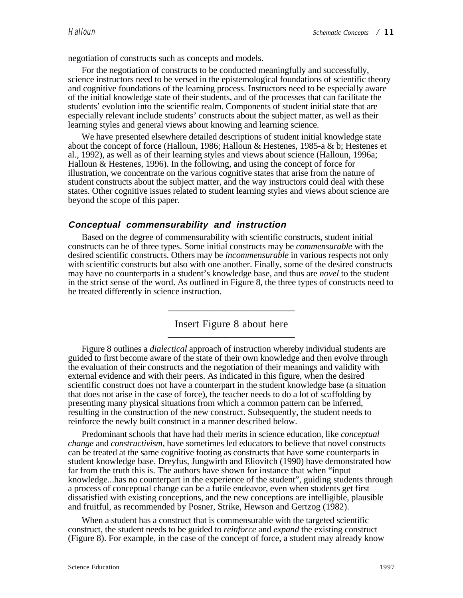negotiation of constructs such as concepts and models.

For the negotiation of constructs to be conducted meaningfully and successfully, science instructors need to be versed in the epistemological foundations of scientific theory and cognitive foundations of the learning process. Instructors need to be especially aware of the initial knowledge state of their students, and of the processes that can facilitate the students' evolution into the scientific realm. Components of student initial state that are especially relevant include students' constructs about the subject matter, as well as their learning styles and general views about knowing and learning science.

We have presented elsewhere detailed descriptions of student initial knowledge state about the concept of force (Halloun, 1986; Halloun & Hestenes, 1985-a & b; Hestenes et al., 1992), as well as of their learning styles and views about science (Halloun, 1996a; Halloun & Hestenes, 1996). In the following, and using the concept of force for illustration, we concentrate on the various cognitive states that arise from the nature of student constructs about the subject matter, and the way instructors could deal with these states. Other cognitive issues related to student learning styles and views about science are beyond the scope of this paper.

#### **Conceptual commensurability and instruction**

Based on the degree of commensurability with scientific constructs, student initial constructs can be of three types. Some initial constructs may be *commensurable* with the desired scientific constructs. Others may be *incommensurable* in various respects not only with scientific constructs but also with one another. Finally, some of the desired constructs may have no counterparts in a student's knowledge base, and thus are *novel* to the student in the strict sense of the word. As outlined in Figure 8, the three types of constructs need to be treated differently in science instruction.

> –––––––––––––––––––––––––––– Insert Figure 8 about here ––––––––––––––––––––––––––––

Figure 8 outlines a *dialectical* approach of instruction whereby individual students are guided to first become aware of the state of their own knowledge and then evolve through the evaluation of their constructs and the negotiation of their meanings and validity with external evidence and with their peers. As indicated in this figure, when the desired scientific construct does not have a counterpart in the student knowledge base (a situation that does not arise in the case of force), the teacher needs to do a lot of scaffolding by presenting many physical situations from which a common pattern can be inferred, resulting in the construction of the new construct. Subsequently, the student needs to reinforce the newly built construct in a manner described below.

Predominant schools that have had their merits in science education, like *conceptual change* and *constructivism*, have sometimes led educators to believe that novel constructs can be treated at the same cognitive footing as constructs that have some counterparts in student knowledge base. Dreyfus, Jungwirth and Eliovitch (1990) have demonstrated how far from the truth this is. The authors have shown for instance that when "input knowledge...has no counterpart in the experience of the student", guiding students through a process of conceptual change can be a futile endeavor, even when students get first dissatisfied with existing conceptions, and the new conceptions are intelligible, plausible and fruitful, as recommended by Posner, Strike, Hewson and Gertzog (1982).

When a student has a construct that is commensurable with the targeted scientific construct, the student needs to be guided to *reinforce* and *expand* the existing construct (Figure 8). For example, in the case of the concept of force, a student may already know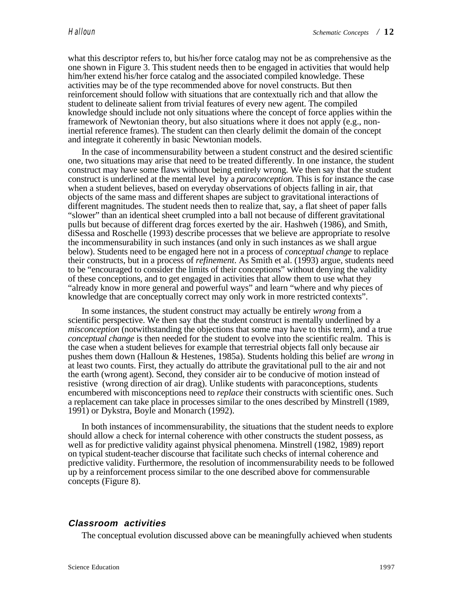what this descriptor refers to, but his/her force catalog may not be as comprehensive as the one shown in Figure 3. This student needs then to be engaged in activities that would help him/her extend his/her force catalog and the associated compiled knowledge. These activities may be of the type recommended above for novel constructs. But then reinforcement should follow with situations that are contextually rich and that allow the student to delineate salient from trivial features of every new agent. The compiled knowledge should include not only situations where the concept of force applies within the framework of Newtonian theory, but also situations where it does not apply (e.g., noninertial reference frames). The student can then clearly delimit the domain of the concept and integrate it coherently in basic Newtonian models.

In the case of incommensurability between a student construct and the desired scientific one, two situations may arise that need to be treated differently. In one instance, the student construct may have some flaws without being entirely wrong. We then say that the student construct is underlined at the mental level by a *paraconception.* This is for instance the case when a student believes, based on everyday observations of objects falling in air, that objects of the same mass and different shapes are subject to gravitational interactions of different magnitudes. The student needs then to realize that, say, a flat sheet of paper falls "slower" than an identical sheet crumpled into a ball not because of different gravitational pulls but because of different drag forces exerted by the air. Hashweh (1986), and Smith, diSessa and Roschelle (1993) describe processes that we believe are appropriate to resolve the incommensurability in such instances (and only in such instances as we shall argue below). Students need to be engaged here not in a process of *conceptual change* to replace their constructs, but in a process of *refinement*. As Smith et al. (1993) argue, students need to be "encouraged to consider the limits of their conceptions" without denying the validity of these conceptions, and to get engaged in activities that allow them to use what they "already know in more general and powerful ways" and learn "where and why pieces of knowledge that are conceptually correct may only work in more restricted contexts".

In some instances, the student construct may actually be entirely *wrong* from a scientific perspective. We then say that the student construct is mentally underlined by a *misconception* (notwithstanding the objections that some may have to this term), and a true *conceptual change* is then needed for the student to evolve into the scientific realm. This is the case when a student believes for example that terrestrial objects fall only because air pushes them down (Halloun & Hestenes, 1985a). Students holding this belief are *wrong* in at least two counts. First, they actually do attribute the gravitational pull to the air and not the earth (wrong agent). Second, they consider air to be conducive of motion instead of resistive (wrong direction of air drag). Unlike students with paraconceptions, students encumbered with misconceptions need to *replace* their constructs with scientific ones. Such a replacement can take place in processes similar to the ones described by Minstrell (1989, 1991) or Dykstra, Boyle and Monarch (1992).

In both instances of incommensurability, the situations that the student needs to explore should allow a check for internal coherence with other constructs the student possess, as well as for predictive validity against physical phenomena. Minstrell (1982, 1989) report on typical student-teacher discourse that facilitate such checks of internal coherence and predictive validity. Furthermore, the resolution of incommensurability needs to be followed up by a reinforcement process similar to the one described above for commensurable concepts (Figure 8).

### **Classroom activities**

The conceptual evolution discussed above can be meaningfully achieved when students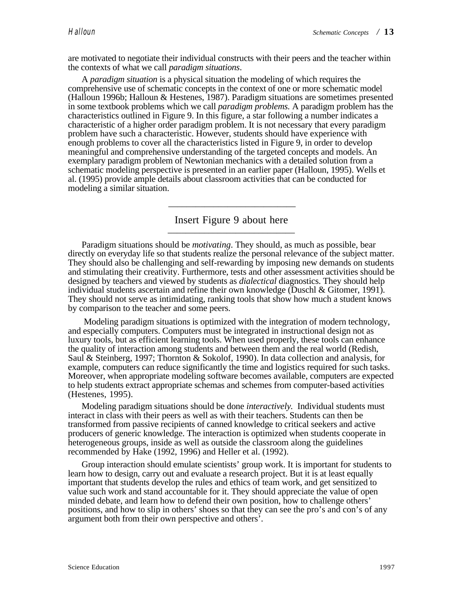are motivated to negotiate their individual constructs with their peers and the teacher within the contexts of what we call *paradigm situations*.

 A *paradigm situation* is a physical situation the modeling of which requires the comprehensive use of schematic concepts in the context of one or more schematic model (Halloun 1996b; Halloun & Hestenes, 1987). Paradigm situations are sometimes presented in some textbook problems which we call *paradigm problems.* A paradigm problem has the characteristics outlined in Figure 9. In this figure, a star following a number indicates a characteristic of a higher order paradigm problem. It is not necessary that every paradigm problem have such a characteristic. However, students should have experience with enough problems to cover all the characteristics listed in Figure 9, in order to develop meaningful and comprehensive understanding of the targeted concepts and models. An exemplary paradigm problem of Newtonian mechanics with a detailed solution from a schematic modeling perspective is presented in an earlier paper (Halloun, 1995). Wells et al. (1995) provide ample details about classroom activities that can be conducted for modeling a similar situation.

> –––––––––––––––––––––––––––– Insert Figure 9 about here ––––––––––––––––––––––––––––

Paradigm situations should be *motivating*. They should, as much as possible, bear directly on everyday life so that students realize the personal relevance of the subject matter. They should also be challenging and self-rewarding by imposing new demands on students and stimulating their creativity. Furthermore, tests and other assessment activities should be designed by teachers and viewed by students as *dialectical* diagnostics. They should help individual students ascertain and refine their own knowledge (Duschl  $\&$  Gitomer, 1991). They should not serve as intimidating, ranking tools that show how much a student knows by comparison to the teacher and some peers.

 Modeling paradigm situations is optimized with the integration of modern technology, and especially computers. Computers must be integrated in instructional design not as luxury tools, but as efficient learning tools. When used properly, these tools can enhance the quality of interaction among students and between them and the real world (Redish, Saul & Steinberg, 1997; Thornton & Sokolof, 1990). In data collection and analysis, for example, computers can reduce significantly the time and logistics required for such tasks. Moreover, when appropriate modeling software becomes available, computers are expected to help students extract appropriate schemas and schemes from computer-based activities (Hestenes, 1995).

Modeling paradigm situations should be done *interactively.* Individual students must interact in class with their peers as well as with their teachers. Students can then be transformed from passive recipients of canned knowledge to critical seekers and active producers of generic knowledge. The interaction is optimized when students cooperate in heterogeneous groups, inside as well as outside the classroom along the guidelines recommended by Hake (1992, 1996) and Heller et al. (1992).

Group interaction should emulate scientists' group work. It is important for students to learn how to design, carry out and evaluate a research project. But it is at least equally important that students develop the rules and ethics of team work, and get sensitized to value such work and stand accountable for it. They should appreciate the value of open minded debate, and learn how to defend their own position, how to challenge others' positions, and how to slip in others' shoes so that they can see the pro's and con's of any argument both from their own perspective and others'.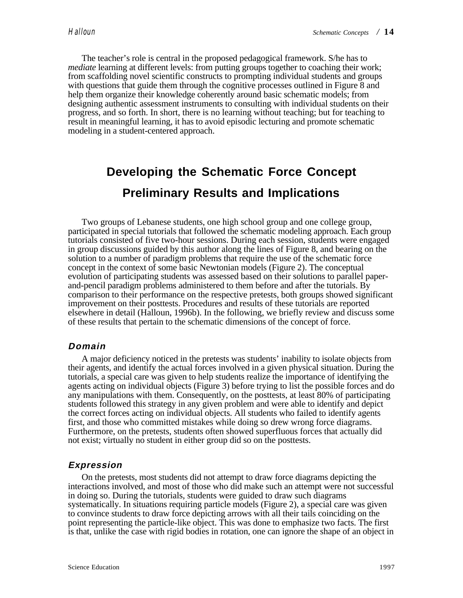The teacher's role is central in the proposed pedagogical framework. S/he has to *mediate* learning at different levels: from putting groups together to coaching their work; from scaffolding novel scientific constructs to prompting individual students and groups with questions that guide them through the cognitive processes outlined in Figure 8 and help them organize their knowledge coherently around basic schematic models; from designing authentic assessment instruments to consulting with individual students on their progress, and so forth. In short, there is no learning without teaching; but for teaching to result in meaningful learning, it has to avoid episodic lecturing and promote schematic modeling in a student-centered approach.

# **Developing the Schematic Force Concept Preliminary Results and Implications**

Two groups of Lebanese students, one high school group and one college group, participated in special tutorials that followed the schematic modeling approach. Each group tutorials consisted of five two-hour sessions. During each session, students were engaged in group discussions guided by this author along the lines of Figure 8, and bearing on the solution to a number of paradigm problems that require the use of the schematic force concept in the context of some basic Newtonian models (Figure 2). The conceptual evolution of participating students was assessed based on their solutions to parallel paperand-pencil paradigm problems administered to them before and after the tutorials. By comparison to their performance on the respective pretests, both groups showed significant improvement on their posttests. Procedures and results of these tutorials are reported elsewhere in detail (Halloun, 1996b). In the following, we briefly review and discuss some of these results that pertain to the schematic dimensions of the concept of force.

### **Domain**

A major deficiency noticed in the pretests was students' inability to isolate objects from their agents, and identify the actual forces involved in a given physical situation. During the tutorials, a special care was given to help students realize the importance of identifying the agents acting on individual objects (Figure 3) before trying to list the possible forces and do any manipulations with them. Consequently, on the posttests, at least 80% of participating students followed this strategy in any given problem and were able to identify and depict the correct forces acting on individual objects. All students who failed to identify agents first, and those who committed mistakes while doing so drew wrong force diagrams. Furthermore, on the pretests, students often showed superfluous forces that actually did not exist; virtually no student in either group did so on the posttests.

### **Expression**

On the pretests, most students did not attempt to draw force diagrams depicting the interactions involved, and most of those who did make such an attempt were not successful in doing so. During the tutorials, students were guided to draw such diagrams systematically. In situations requiring particle models (Figure 2), a special care was given to convince students to draw force depicting arrows with all their tails coinciding on the point representing the particle-like object. This was done to emphasize two facts. The first is that, unlike the case with rigid bodies in rotation, one can ignore the shape of an object in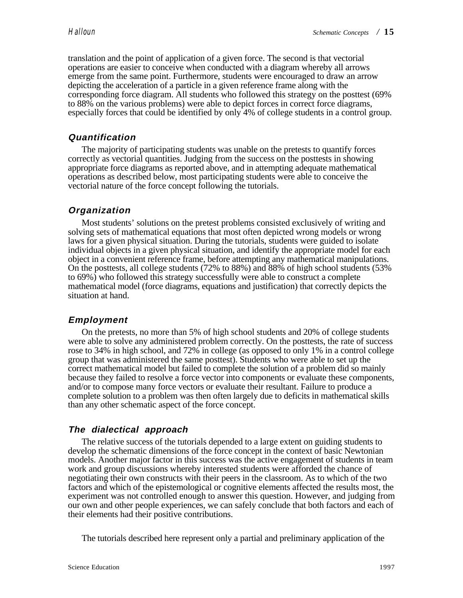translation and the point of application of a given force. The second is that vectorial operations are easier to conceive when conducted with a diagram whereby all arrows emerge from the same point. Furthermore, students were encouraged to draw an arrow depicting the acceleration of a particle in a given reference frame along with the corresponding force diagram. All students who followed this strategy on the posttest (69% to 88% on the various problems) were able to depict forces in correct force diagrams, especially forces that could be identified by only 4% of college students in a control group.

### **Quantification**

The majority of participating students was unable on the pretests to quantify forces correctly as vectorial quantities. Judging from the success on the posttests in showing appropriate force diagrams as reported above, and in attempting adequate mathematical operations as described below, most participating students were able to conceive the vectorial nature of the force concept following the tutorials.

## **Organization**

Most students' solutions on the pretest problems consisted exclusively of writing and solving sets of mathematical equations that most often depicted wrong models or wrong laws for a given physical situation. During the tutorials, students were guided to isolate individual objects in a given physical situation, and identify the appropriate model for each object in a convenient reference frame, before attempting any mathematical manipulations. On the posttests, all college students (72% to 88%) and 88% of high school students (53% to 69%) who followed this strategy successfully were able to construct a complete mathematical model (force diagrams, equations and justification) that correctly depicts the situation at hand.

### **Employment**

On the pretests, no more than 5% of high school students and 20% of college students were able to solve any administered problem correctly. On the posttests, the rate of success rose to 34% in high school, and 72% in college (as opposed to only 1% in a control college group that was administered the same posttest). Students who were able to set up the correct mathematical model but failed to complete the solution of a problem did so mainly because they failed to resolve a force vector into components or evaluate these components, and/or to compose many force vectors or evaluate their resultant. Failure to produce a complete solution to a problem was then often largely due to deficits in mathematical skills than any other schematic aspect of the force concept.

### **The dialectical approach**

The relative success of the tutorials depended to a large extent on guiding students to develop the schematic dimensions of the force concept in the context of basic Newtonian models. Another major factor in this success was the active engagement of students in team work and group discussions whereby interested students were afforded the chance of negotiating their own constructs with their peers in the classroom. As to which of the two factors and which of the epistemological or cognitive elements affected the results most, the experiment was not controlled enough to answer this question. However, and judging from our own and other people experiences, we can safely conclude that both factors and each of their elements had their positive contributions.

The tutorials described here represent only a partial and preliminary application of the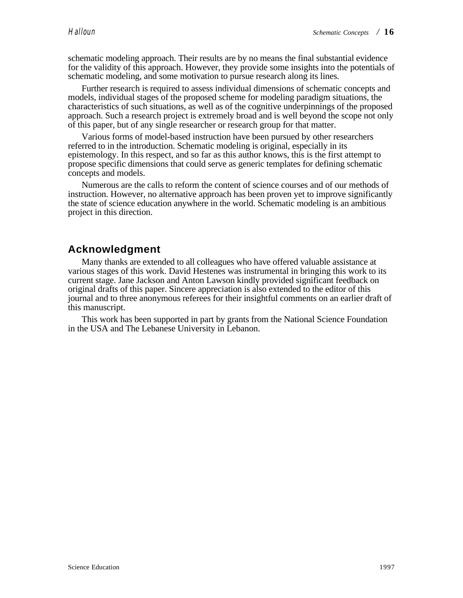schematic modeling approach. Their results are by no means the final substantial evidence for the validity of this approach. However, they provide some insights into the potentials of schematic modeling, and some motivation to pursue research along its lines.

Further research is required to assess individual dimensions of schematic concepts and models, individual stages of the proposed scheme for modeling paradigm situations, the characteristics of such situations, as well as of the cognitive underpinnings of the proposed approach. Such a research project is extremely broad and is well beyond the scope not only of this paper, but of any single researcher or research group for that matter.

Various forms of model-based instruction have been pursued by other researchers referred to in the introduction. Schematic modeling is original, especially in its epistemology. In this respect, and so far as this author knows, this is the first attempt to propose specific dimensions that could serve as generic templates for defining schematic concepts and models.

Numerous are the calls to reform the content of science courses and of our methods of instruction. However, no alternative approach has been proven yet to improve significantly the state of science education anywhere in the world. Schematic modeling is an ambitious project in this direction.

## **Acknowledgment**

Many thanks are extended to all colleagues who have offered valuable assistance at various stages of this work. David Hestenes was instrumental in bringing this work to its current stage. Jane Jackson and Anton Lawson kindly provided significant feedback on original drafts of this paper. Sincere appreciation is also extended to the editor of this journal and to three anonymous referees for their insightful comments on an earlier draft of this manuscript.

This work has been supported in part by grants from the National Science Foundation in the USA and The Lebanese University in Lebanon.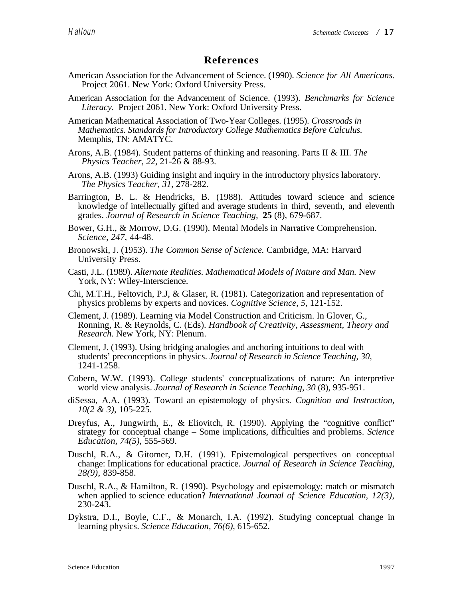## **References**

- American Association for the Advancement of Science. (1990). *Science for All Americans.* Project 2061. New York: Oxford University Press.
- American Association for the Advancement of Science. (1993). *Benchmarks for Science Literacy.* Project 2061. New York: Oxford University Press.
- American Mathematical Association of Two-Year Colleges. (1995). *Crossroads in Mathematics. Standards for Introductory College Mathematics Before Calculus.* Memphis, TN: AMATYC.
- Arons, A.B. (1984). Student patterns of thinking and reasoning. Parts II & III. *The Physics Teacher, 22,* 21-26 & 88-93.
- Arons, A.B. (1993) Guiding insight and inquiry in the introductory physics laboratory. *The Physics Teacher, 31,* 278-282.
- Barrington, B. L. & Hendricks, B. (1988). Attitudes toward science and science knowledge of intellectually gifted and average students in third, seventh, and eleventh grades. *Journal of Research in Science Teaching,* **25** (8), 679-687.
- Bower, G.H., & Morrow, D.G. (1990). Mental Models in Narrative Comprehension. *Science, 247*, 44-48.
- Bronowski, J. (1953). *The Common Sense of Science.* Cambridge, MA: Harvard University Press.
- Casti, J.L. (1989). *Alternate Realities. Mathematical Models of Nature and Man.* New York, NY: Wiley-Interscience.
- Chi, M.T.H., Feltovich, P.J, & Glaser, R. (1981). Categorization and representation of physics problems by experts and novices. *Cognitive Science, 5*, 121-152.
- Clement, J. (1989). Learning via Model Construction and Criticism. In Glover, G., Ronning, R. & Reynolds, C. (Eds). *Handbook of Creativity, Assessment, Theory and Research.* New York, NY: Plenum.
- Clement, J. (1993). Using bridging analogies and anchoring intuitions to deal with students' preconceptions in physics. *Journal of Research in Science Teaching, 30,* 1241-1258.
- Cobern, W.W. (1993). College students' conceptualizations of nature: An interpretive world view analysis. *Journal of Research in Science Teaching, 30* (8), 935-951.
- diSessa, A.A. (1993). Toward an epistemology of physics. *Cognition and Instruction, 10(2 & 3)*, 105-225.
- Dreyfus, A., Jungwirth, E., & Eliovitch, R. (1990). Applying the "cognitive conflict" strategy for conceptual change – Some implications, difficulties and problems. *Science Education, 74(5),* 555-569.
- Duschl, R.A., & Gitomer, D.H. (1991). Epistemological perspectives on conceptual change: Implications for educational practice. *Journal of Research in Science Teaching, 28(9)*, 839-858.
- Duschl, R.A., & Hamilton, R. (1990). Psychology and epistemology: match or mismatch when applied to science education? *International Journal of Science Education, 12(3)*, 230-243.
- Dykstra, D.I., Boyle, C.F., & Monarch, I.A. (1992). Studying conceptual change in learning physics. *Science Education, 76(6)*, 615-652.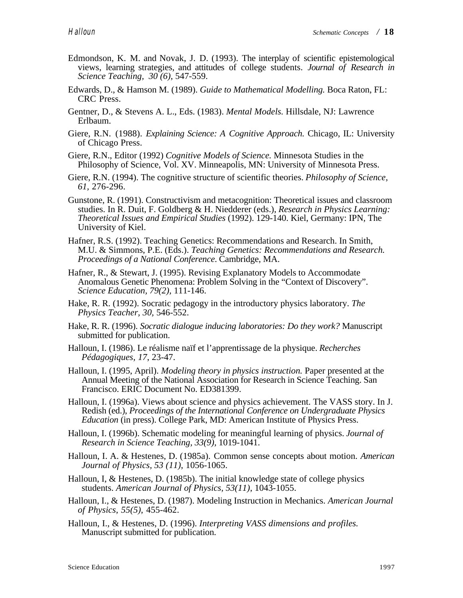- Edmondson, K. M. and Novak, J. D. (1993). The interplay of scientific epistemological views, learning strategies, and attitudes of college students. *Journal of Research in Science Teaching, 30 (6)*, 547-559.
- Edwards, D., & Hamson M. (1989). *Guide to Mathematical Modelling.* Boca Raton, FL: CRC Press.
- Gentner, D., & Stevens A. L., Eds. (1983). *Mental Models.* Hillsdale, NJ: Lawrence Erlbaum.
- Giere, R.N. (1988). *Explaining Science: A Cognitive Approach.* Chicago, IL: University of Chicago Press.
- Giere, R.N., Editor (1992) *Cognitive Models of Science.* Minnesota Studies in the Philosophy of Science, Vol. XV. Minneapolis, MN: University of Minnesota Press.
- Giere, R.N. (1994). The cognitive structure of scientific theories. *Philosophy of Science, 61,* 276-296.
- Gunstone, R. (1991). Constructivism and metacognition: Theoretical issues and classroom studies. In R. Duit, F. Goldberg & H. Niedderer (eds.), *Research in Physics Learning: Theoretical Issues and Empirical Studies* (1992). 129-140. Kiel, Germany: IPN, The University of Kiel.
- Hafner, R.S. (1992). Teaching Genetics: Recommendations and Research. In Smith, M.U. & Simmons, P.E. (Eds.). *Teaching Genetics: Recommendations and Research. Proceedings of a National Conference*. Cambridge, MA.
- Hafner, R., & Stewart, J. (1995). Revising Explanatory Models to Accommodate Anomalous Genetic Phenomena: Problem Solving in the "Context of Discovery". *Science Education, 79(2),* 111-146.
- Hake, R. R. (1992). Socratic pedagogy in the introductory physics laboratory. *The Physics Teacher, 30,* 546-552.
- Hake, R. R. (1996). *Socratic dialogue inducing laboratories: Do they work?* Manuscript submitted for publication.
- Halloun, I. (1986). Le réalisme naïf et l'apprentissage de la physique. *Recherches Pédagogiques, 17*, 23-47.
- Halloun, I. (1995, April). *Modeling theory in physics instruction.* Paper presented at the Annual Meeting of the National Association for Research in Science Teaching. San Francisco. ERIC Document No. ED381399.
- Halloun, I. (1996a). Views about science and physics achievement. The VASS story. In J. Redish (ed.), *Proceedings of the International Conference on Undergraduate Physics Education* (in press). College Park, MD: American Institute of Physics Press.
- Halloun, I. (1996b). Schematic modeling for meaningful learning of physics. *Journal of Research in Science Teaching, 33(9),* 1019-1041.
- Halloun, I. A. & Hestenes, D. (1985a). Common sense concepts about motion. *American Journal of Physics, 53 (11)*, 1056-1065.
- Halloun, I, & Hestenes, D. (1985b). The initial knowledge state of college physics students. *American Journal of Physics, 53(11)*, 1043-1055.
- Halloun, I., & Hestenes, D. (1987). Modeling Instruction in Mechanics. *American Journal of Physics*, *55(5)*, 455-462.
- Halloun, I., & Hestenes, D. (1996). *Interpreting VASS dimensions and profiles.* Manuscript submitted for publication.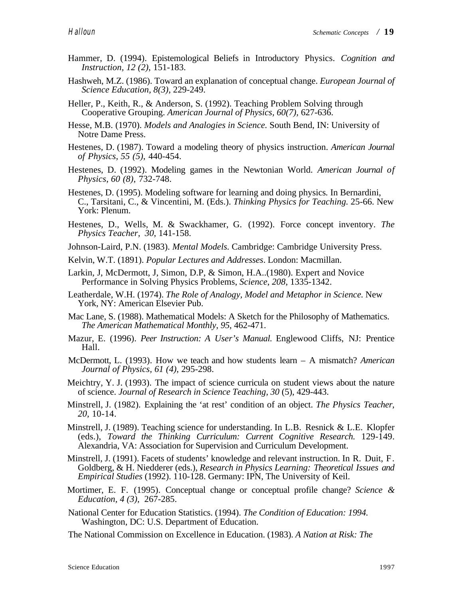- Hammer, D. (1994). Epistemological Beliefs in Introductory Physics. *Cognition and Instruction, 12 (2)*, 151-183.
- Hashweh, M.Z. (1986). Toward an explanation of conceptual change. *European Journal of Science Education, 8(3)*, 229-249.
- Heller, P., Keith, R., & Anderson, S. (1992). Teaching Problem Solving through Cooperative Grouping. *American Journal of Physics, 60(7),* 627-636.
- Hesse, M.B. (1970). *Models and Analogies in Science.* South Bend, IN: University of Notre Dame Press.
- Hestenes, D. (1987). Toward a modeling theory of physics instruction. *American Journal of Physics*, *55 (5)*, 440-454.
- Hestenes, D. (1992). Modeling games in the Newtonian World. *American Journal of Physics*, *60 (8)*, 732-748.
- Hestenes, D. (1995). Modeling software for learning and doing physics*.* In Bernardini, C., Tarsitani, C., & Vincentini, M. (Eds.). *Thinking Physics for Teaching.* 25-66. New York: Plenum.
- Hestenes, D., Wells, M. & Swackhamer, G. (1992). Force concept inventory. *The Physics Teacher, 30*, 141-158.
- Johnson-Laird, P.N. (1983). *Mental Models.* Cambridge: Cambridge University Press.
- Kelvin, W.T. (1891). *Popular Lectures and Addresses*. London: Macmillan.
- Larkin, J, McDermott, J, Simon, D.P, & Simon, H.A..(1980). Expert and Novice Performance in Solving Physics Problems, *Science*, *208*, 1335-1342.
- Leatherdale, W.H. (1974). *The Role of Analogy, Model and Metaphor in Science.* New York, NY: American Elsevier Pub.
- Mac Lane, S. (1988). Mathematical Models: A Sketch for the Philosophy of Mathematics. *The American Mathematical Monthly*, *95*, 462-471.
- Mazur, E. (1996). *Peer Instruction: A User's Manual.* Englewood Cliffs, NJ: Prentice Hall.
- McDermott, L. (1993). How we teach and how students learn A mismatch? *American Journal of Physics, 61 (4)*, 295-298.
- Meichtry, Y. J. (1993). The impact of science curricula on student views about the nature of science. *Journal of Research in Science Teaching, 30* (5), 429-443.
- Minstrell, J. (1982). Explaining the 'at rest' condition of an object. *The Physics Teacher, 20,* 10-14.
- Minstrell, J. (1989). Teaching science for understanding. In L.B. Resnick & L.E. Klopfer (eds.), *Toward the Thinking Curriculum: Current Cognitive Research.* 129-149. Alexandria, VA: Association for Supervision and Curriculum Development.
- Minstrell, J. (1991). Facets of students' knowledge and relevant instruction. In R. Duit, F. Goldberg, & H. Niedderer (eds.), *Research in Physics Learning: Theoretical Issues and Empirical Studies* (1992). 110-128. Germany: IPN, The University of Keil.
- Mortimer, E. F. (1995). Conceptual change or conceptual profile change? *Science & Education, 4 (3),* 267-285.
- National Center for Education Statistics. (1994). *The Condition of Education: 1994.* Washington, DC: U.S. Department of Education.
- The National Commission on Excellence in Education. (1983). *A Nation at Risk: The*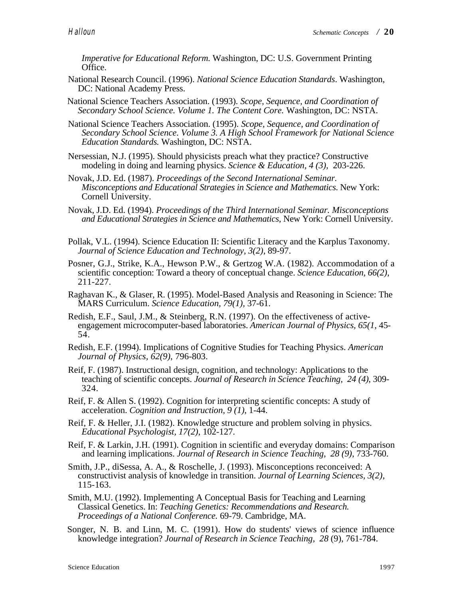*Imperative for Educational Reform.* Washington, DC: U.S. Government Printing Office.

National Research Council. (1996). *National Science Education Standards*. Washington, DC: National Academy Press.

National Science Teachers Association. (1993). *Scope, Sequence, and Coordination of Secondary School Science. Volume 1. The Content Core.* Washington, DC: NSTA.

National Science Teachers Association. (1995). *Scope, Sequence, and Coordination of Secondary School Science. Volume 3. A High School Framework for National Science Education Standards.* Washington, DC: NSTA.

Nersessian, N.J. (1995). Should physicists preach what they practice? Constructive modeling in doing and learning physics. *Science & Education, 4 (3),* 203-226.

- Novak, J.D. Ed. (1987). *Proceedings of the Second International Seminar. Misconceptions and Educational Strategies in Science and Mathematics*. New York: Cornell University.
- Novak, J.D. Ed. (1994). *Proceedings of the Third International Seminar. Misconceptions and Educational Strategies in Science and Mathematics,* New York: Cornell University.
- Pollak, V.L. (1994). Science Education II: Scientific Literacy and the Karplus Taxonomy. *Journal of Science Education and Technology, 3(2)*, 89-97.
- Posner, G.J., Strike, K.A., Hewson P.W., & Gertzog W.A. (1982). Accommodation of a scientific conception: Toward a theory of conceptual change. *Science Education, 66(2),* 211-227.
- Raghavan K., & Glaser, R. (1995). Model-Based Analysis and Reasoning in Science: The MARS Curriculum. *Science Education, 79(1),* 37-61.
- Redish, E.F., Saul, J.M., & Steinberg, R.N. (1997). On the effectiveness of activeengagement microcomputer-based laboratories. *American Journal of Physics, 65(1*, 45- 54.
- Redish, E.F. (1994). Implications of Cognitive Studies for Teaching Physics. *American Journal of Physics, 62(9)*, 796-803.
- Reif, F. (1987). Instructional design, cognition, and technology: Applications to the teaching of scientific concepts. *Journal of Research in Science Teaching, 24 (4)*, 309- 324.
- Reif, F. & Allen S. (1992). Cognition for interpreting scientific concepts: A study of acceleration. *Cognition and Instruction, 9 (1)*, 1-44.
- Reif, F. & Heller, J.I. (1982). Knowledge structure and problem solving in physics. *Educational Psychologist, 17(2)*, 102-127.
- Reif, F. & Larkin, J.H. (1991). Cognition in scientific and everyday domains: Comparison and learning implications. *Journal of Research in Science Teaching, 28 (9)*, 733-760.
- Smith, J.P., diSessa, A. A., & Roschelle, J. (1993). Misconceptions reconceived: A constructivist analysis of knowledge in transition. *Journal of Learning Sciences, 3(2)*, 115-163.
- Smith, M.U. (1992). Implementing A Conceptual Basis for Teaching and Learning Classical Genetics. In: *Teaching Genetics: Recommendations and Research. Proceedings of a National Conference.* 69-79. Cambridge, MA.
- Songer, N. B. and Linn, M. C. (1991). How do students' views of science influence knowledge integration? *Journal of Research in Science Teaching,**28* (9), 761-784.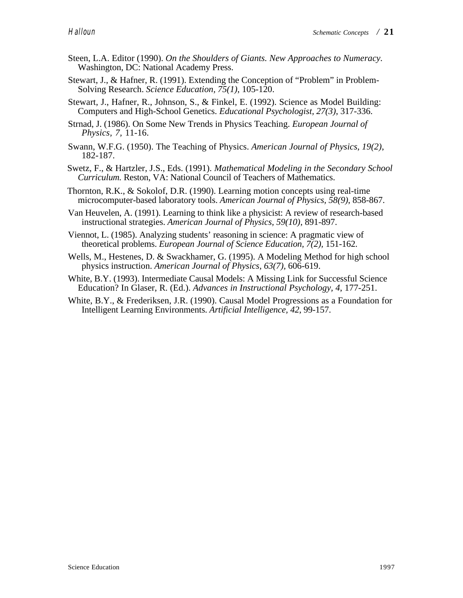- Steen, L.A. Editor (1990). *On the Shoulders of Giants. New Approaches to Numeracy.* Washington, DC: National Academy Press.
- Stewart, J., & Hafner, R. (1991). Extending the Conception of "Problem" in Problem-Solving Research. *Science Education, 75(1)*, 105-120.
- Stewart, J., Hafner, R., Johnson, S., & Finkel, E. (1992). Science as Model Building: Computers and High-School Genetics. *Educational Psychologist, 27(3)*, 317-336.
- Strnad, J. (1986). On Some New Trends in Physics Teaching. *European Journal of Physics, 7,* 11-16.
- Swann, W.F.G. (1950). The Teaching of Physics. *American Journal of Physics*, *19(2)*, 182-187.
- Swetz, F., & Hartzler, J.S., Eds. (1991). *Mathematical Modeling in the Secondary School Curriculum.* Reston, VA: National Council of Teachers of Mathematics.
- Thornton, R.K., & Sokolof, D.R. (1990). Learning motion concepts using real-time microcomputer-based laboratory tools. *American Journal of Physics, 58(9)*, 858-867.
- Van Heuvelen, A. (1991). Learning to think like a physicist: A review of research-based instructional strategies. *American Journal of Physics, 59(10)*, 891-897.
- Viennot, L. (1985). Analyzing students' reasoning in science: A pragmatic view of theoretical problems. *European Journal of Science Education, 7(2),* 151-162.
- Wells, M., Hestenes, D. & Swackhamer, G. (1995). A Modeling Method for high school physics instruction. *American Journal of Physics, 63(7),* 606-619.
- White, B.Y. (1993). Intermediate Causal Models: A Missing Link for Successful Science Education? In Glaser, R. (Ed.). *Advances in Instructional Psychology, 4*, 177-251.
- White, B.Y., & Frederiksen, J.R. (1990). Causal Model Progressions as a Foundation for Intelligent Learning Environments. *Artificial Intelligence, 42*, 99-157.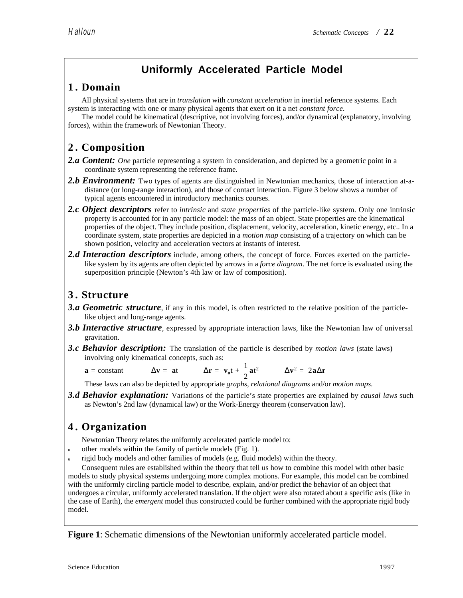# **Uniformly Accelerated Particle Model**

## **1 . Domain**

All physical systems that are in *translation* with *constant acceleration* in inertial reference systems. Each system is interacting with one or many physical agents that exert on it a net *constant force*.

The model could be kinematical (descriptive, not involving forces), and/or dynamical (explanatory, involving forces), within the framework of Newtonian Theory.

# **2 . Composition**

- **2.a Content:** One particle representing a system in consideration, and depicted by a geometric point in a coordinate system representing the reference frame.
- 2.b *Environment:* Two types of agents are distinguished in Newtonian mechanics, those of interaction at-adistance (or long-range interaction), and those of contact interaction. Figure 3 below shows a number of typical agents encountered in introductory mechanics courses.
- *2.c Object descriptors* refer to *intrinsic* and *state properties* of the particle-like system. Only one intrinsic property is accounted for in any particle model: the mass of an object. State properties are the kinematical properties of the object. They include position, displacement, velocity, acceleration, kinetic energy, etc.. In a coordinate system, state properties are depicted in a *motion map* consisting of a trajectory on which can be shown position, velocity and acceleration vectors at instants of interest.
- *2.d Interaction descriptors* include, among others, the concept of force. Forces exerted on the particlelike system by its agents are often depicted by arrows in a *force diagram*. The net force is evaluated using the superposition principle (Newton's 4th law or law of composition).

## **3 . Structure**

- **3.a Geometric structure**, if any in this model, is often restricted to the relative position of the particlelike object and long-range agents.
- *3.b Interactive structure*, expressed by appropriate interaction laws, like the Newtonian law of universal gravitation.
- *3.c Behavior description:* The translation of the particle is described by *motion laws* (state laws) involving only kinematical concepts, such as:

**a** = constant  $\Delta \mathbf{v} = \mathbf{a}t$   $\Delta \mathbf{r} = \mathbf{v_0}t + \frac{1}{2}$  $\frac{1}{2}$ **a**t<sup>2</sup>  $\Delta \mathbf{v}^2 = 2\mathbf{a}\Delta\mathbf{r}$ 

These laws can also be depicted by appropriate *graphs*, *relational diagrams* and/or *motion maps*.

*3.d Behavior explanation:* Variations of the particle's state properties are explained by *causal laws* such as Newton's 2nd law (dynamical law) or the Work-Energy theorem (conservation law).

## **4 . Organization**

Newtonian Theory relates the uniformly accelerated particle model to:

- u other models within the family of particle models (Fig. 1).
- rigid body models and other families of models (e.g. fluid models) within the theory.

Consequent rules are established within the theory that tell us how to combine this model with other basic models to study physical systems undergoing more complex motions. For example, this model can be combined with the uniformly circling particle model to describe, explain, and/or predict the behavior of an object that undergoes a circular, uniformly accelerated translation. If the object were also rotated about a specific axis (like in the case of Earth), the *emergent* model thus constructed could be further combined with the appropriate rigid body model.

**Figure 1**: Schematic dimensions of the Newtonian uniformly accelerated particle model.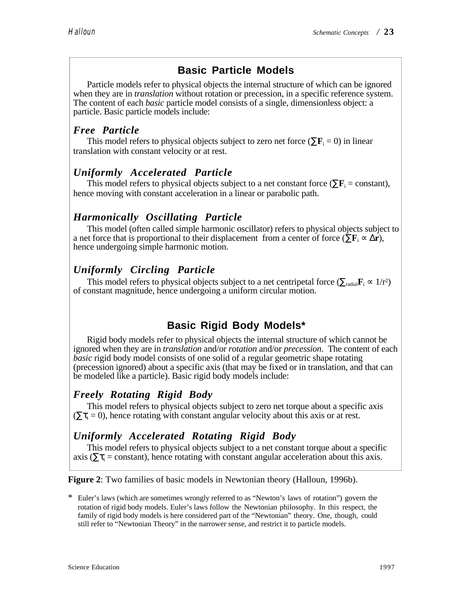## **Basic Particle Models**

Particle models refer to physical objects the internal structure of which can be ignored when they are in *translation* without rotation or precession, in a specific reference system. The content of each *basic* particle model consists of a single, dimensionless object: a particle. Basic particle models include:

## *Free Particle*

This model refers to physical objects subject to zero net force ( $\Sigma \mathbf{F}_i = 0$ ) in linear translation with constant velocity or at rest.

## *Uniformly Accelerated Particle*

This model refers to physical objects subject to a net constant force ( $\Sigma \mathbf{F}_i$  = constant), hence moving with constant acceleration in a linear or parabolic path.

## *Harmonically Oscillating Particle*

This model (often called simple harmonic oscillator) refers to physical objects subject to a net force that is proportional to their displacement from a center of force ( $\Sigma$ **F**<sub>i</sub>  $\propto \Delta$ **r**), hence undergoing simple harmonic motion.

## *Uniformly Circling Particle*

This model refers to physical objects subject to a net centripetal force ( $\sum_{radial}$ **F**<sub>i</sub>  $\propto 1/r^2$ ) of constant magnitude, hence undergoing a uniform circular motion.

## **Basic Rigid Body Models\***

Rigid body models refer to physical objects the internal structure of which cannot be ignored when they are in *translation* and/or *rotation* and/or *precession*. The content of each *basic* rigid body model consists of one solid of a regular geometric shape rotating (precession ignored) about a specific axis (that may be fixed or in translation, and that can be modeled like a particle). Basic rigid body models include:

## *Freely Rotating Rigid Body*

This model refers to physical objects subject to zero net torque about a specific axis  $(\sum \tau_i = 0)$ , hence rotating with constant angular velocity about this axis or at rest.

## *Uniformly Accelerated Rotating Rigid Body*

This model refers to physical objects subject to a net constant torque about a specific axis ( $\Sigma \tau$ <sub>i</sub> = constant), hence rotating with constant angular acceleration about this axis.

**Figure 2**: Two families of basic models in Newtonian theory (Halloun, 1996b).

\* Euler's laws (which are sometimes wrongly referred to as "Newton's laws of rotation") govern the rotation of rigid body models. Euler's laws follow the Newtonian philosophy. In this respect, the family of rigid body models is here considered part of the "Newtonian" theory. One, though, could still refer to "Newtonian Theory" in the narrower sense, and restrict it to particle models.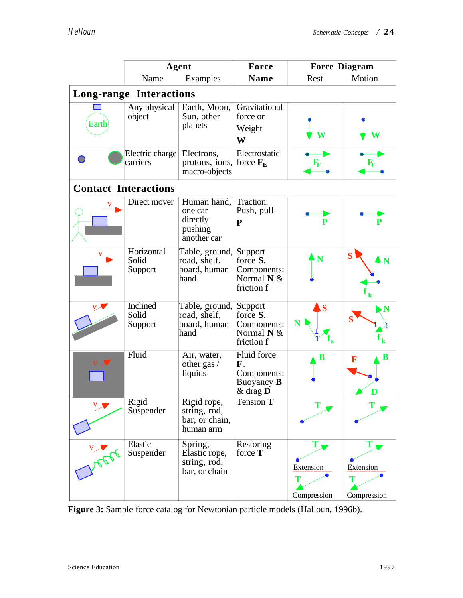|                                | Agent                          |                                                                    | Force                                                                         | <b>Force Diagram</b>               |                                    |
|--------------------------------|--------------------------------|--------------------------------------------------------------------|-------------------------------------------------------------------------------|------------------------------------|------------------------------------|
|                                | Name                           | Examples                                                           | <b>Name</b>                                                                   | Rest                               | Motion                             |
| <b>Long-range Interactions</b> |                                |                                                                    |                                                                               |                                    |                                    |
| Earth                          | Any physical<br>object         | Earth, Moon,<br>Sun, other<br>planets                              | Gravitational<br>force or<br>Weight<br>W                                      | W                                  | W                                  |
|                                | Electric charge<br>carriers    | Electrons,<br>protons, ions, force $\mathbf{F_E}$<br>macro-objects | Electrostatic                                                                 | $\mathbf{f}_{\mathrm{E}}$          |                                    |
| <b>Contact Interactions</b>    |                                |                                                                    |                                                                               |                                    |                                    |
|                                | Direct mover                   | Human hand,<br>one car<br>directly<br>pushing<br>another car       | Traction:<br>Push, pull<br>${\bf P}$                                          | P                                  |                                    |
|                                | Horizontal<br>Solid<br>Support | Table, ground,<br>road, shelf,<br>board, human<br>hand             | Support<br>force S.<br>Components:<br>Normal N &<br>friction f                | $\mathbf{N}$                       | S                                  |
|                                | Inclined<br>Solid<br>Support   | Table, ground,<br>road, shelf,<br>board, human<br>hand             | Support<br>force S.<br>Components:<br>Normal N &<br>friction f                | S<br>N                             |                                    |
|                                | Fluid                          | Air, water,<br>other gas /<br>liquids                              | <b>Fluid force</b><br>F.<br>Components:<br>Buoyancy $B$<br>$\&$ drag <b>D</b> | B                                  | B<br>F                             |
| $V_{\sqrt{2}}$                 | Rigid<br>Suspender             | Rigid rope,<br>string, rod,<br>bar, or chain,<br>human arm         | Tension T                                                                     | Т                                  | T                                  |
| Nooc                           | Elastic<br>Suspender           | Spring,<br>Elastic rope,<br>string, rod,<br>bar, or chain          | Restoring<br>force $T$                                                        | Т<br>Extension<br>T<br>Compression | т<br>Extension<br>T<br>Compression |

**Figure 3:** Sample force catalog for Newtonian particle models (Halloun, 1996b).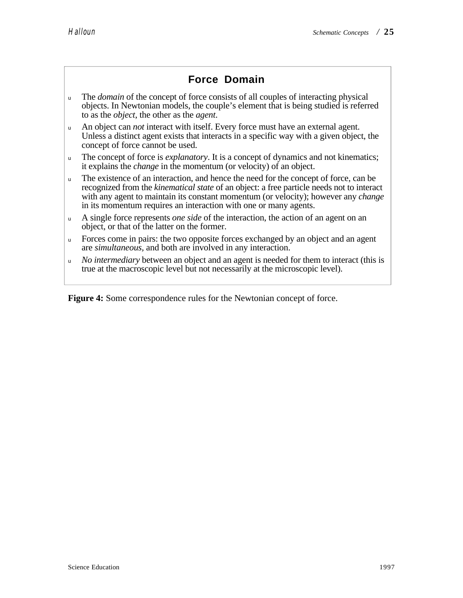# **Force Domain**

- <sup>u</sup> The *domain* of the concept of force consists of all couples of interacting physical objects. In Newtonian models, the couple's element that is being studied is referred to as the *object*, the other as the *agent*.
- <sup>u</sup> An object can *not* interact with itself. Every force must have an external agent. Unless a distinct agent exists that interacts in a specific way with a given object, the concept of force cannot be used.
- u The concept of force is *explanatory*. It is a concept of dynamics and not kinematics; it explains the *change* in the momentum (or velocity) of an object.
- <sup>u</sup> The existence of an interaction, and hence the need for the concept of force, can be recognized from the *kinematical state* of an object: a free particle needs not to interact with any agent to maintain its constant momentum (or velocity); however any *change* in its momentum requires an interaction with one or many agents.
- <sup>u</sup> A single force represents *one side* of the interaction, the action of an agent on an object, or that of the latter on the former.
- $\mu$  Forces come in pairs: the two opposite forces exchanged by an object and an agent are *simultaneous,* and both are involved in any interaction.
- <sup>u</sup> *No intermediary* between an object and an agent is needed for them to interact (this is true at the macroscopic level but not necessarily at the microscopic level).

**Figure 4:** Some correspondence rules for the Newtonian concept of force.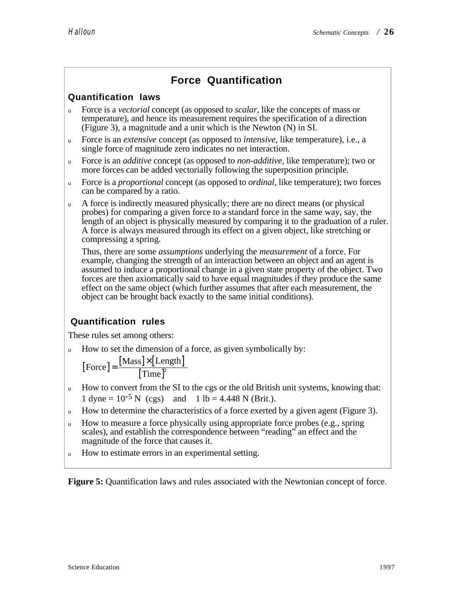# **Force Quantification**

### **Quantification laws**

- <sup>u</sup> Force is a *vectorial* concept (as opposed to *scalar,* like the concepts of mass or temperature), and hence its measurement requires the specification of a direction (Figure 3), a magnitude and a unit which is the Newton (N) in SI.
- <sup>u</sup> Force is an *extensive* concept (as opposed to *intensive*, like temperature), i.e., a single force of magnitude zero indicates no net interaction.
- <sup>u</sup> Force is an *additive* concept (as opposed to *non-additive*, like temperature); two or more forces can be added vectorially following the superposition principle.
- <sup>u</sup> Force is a *proportional* concept (as opposed to *ordinal,* like temperature); two forces can be compared by a ratio.
- u A force is indirectly measured physically; there are no direct means (or physical probes) for comparing a given force to a standard force in the same way, say, the length of an object is physically measured by comparing it to the graduation of a ruler. A force is always measured through its effect on a given object, like stretching or compressing a spring.

Thus, there are some *assumptions* underlying the *measurement* of a force. For example, changing the strength of an interaction between an object and an agent is assumed to induce a proportional change in a given state property of the object. Two forces are then axiomatically said to have equal magnitudes if they produce the same effect on the same object (which further assumes that after each measurement, the object can be brought back exactly to the same initial conditions).

## **Quantification rules**

These rules set among others:

u How to set the dimension of a force, as given symbolically by:

$$
[\text{Force}] = \frac{[\text{Mass}] \times [\text{Length}]}{[\text{Time}]^2}
$$

- $\mu$  How to convert from the SI to the cgs or the old British unit systems, knowing that: 1 dyne =  $10^{-5}$  N (cgs) and 1 lb = 4.448 N (Brit.).
- u How to determine the characteristics of a force exerted by a given agent (Figure 3).
- u How to measure a force physically using appropriate force probes (e.g., spring scales), and establish the correspondence between "reading" an effect and the magnitude of the force that causes it.
- u How to estimate errors in an experimental setting.

**Figure 5:** Quantification laws and rules associated with the Newtonian concept of force.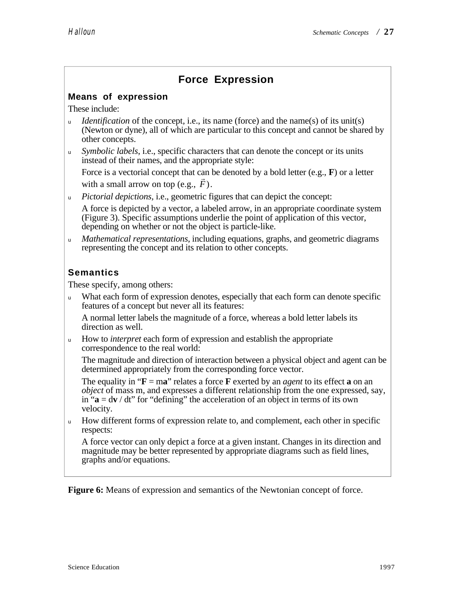## **Force Expression**

### **Means of expression**

### These include:

- <sup>u</sup> *Identification* of the concept*,* i.e., its name (force) and the name(s) of its unit(s) (Newton or dyne), all of which are particular to this concept and cannot be shared by other concepts.
- <sup>u</sup> *Symbolic labels*, i.e., specific characters that can denote the concept or its units instead of their names, and the appropriate style:

Force is a vectorial concept that can be denoted by a bold letter (e.g., **F**) or a letter with a small arrow on top (e.g., *F*).

<sup>u</sup> *Pictorial depictions,* i.e., geometric figures that can depict the concept:

A force is depicted by a vector, a labeled arrow, in an appropriate coordinate system (Figure 3). Specific assumptions underlie the point of application of this vector, depending on whether or not the object is particle-like.

<sup>u</sup> *Mathematical representations,* including equations, graphs, and geometric diagrams representing the concept and its relation to other concepts.

## **Semantics**

These specify, among others:

u What each form of expression denotes, especially that each form can denote specific features of a concept but never all its features:

A normal letter labels the magnitude of a force, whereas a bold letter labels its direction as well.

<sup>u</sup> How to *interpret* each form of expression and establish the appropriate correspondence to the real world:

The magnitude and direction of interaction between a physical object and agent can be determined appropriately from the corresponding force vector.

The equality in " $\mathbf{F} = \mathbf{ma}$ " relates a force **F** exerted by an *agent* to its effect **a** on an *object* of mass m, and expresses a different relationship from the one expressed, say, in " $a = dv/dt$ " for "defining" the acceleration of an object in terms of its own velocity.

 $\mu$  How different forms of expression relate to, and complement, each other in specific respects:

A force vector can only depict a force at a given instant. Changes in its direction and magnitude may be better represented by appropriate diagrams such as field lines, graphs and/or equations.

**Figure 6:** Means of expression and semantics of the Newtonian concept of force.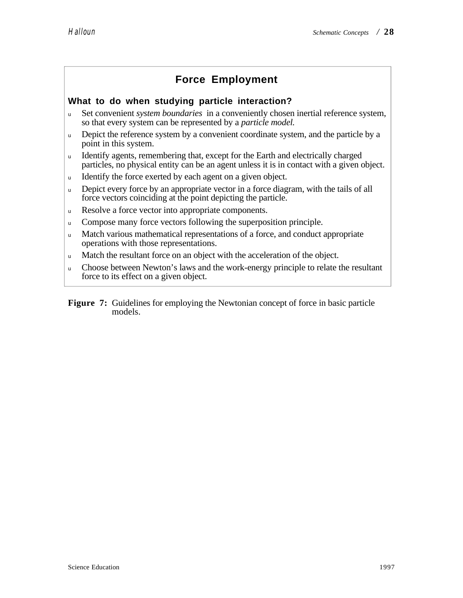# **Force Employment**

### **What to do when studying particle interaction?**

- <sup>u</sup> Set convenient *system boundaries* in a conveniently chosen inertial reference system, so that every system can be represented by a *particle model.*
- $\mu$  Depict the reference system by a convenient coordinate system, and the particle by a point in this system.
- <sup>u</sup> Identify agents, remembering that, except for the Earth and electrically charged particles, no physical entity can be an agent unless it is in contact with a given object.
- u Identify the force exerted by each agent on a given object.
- $\mu$  Depict every force by an appropriate vector in a force diagram, with the tails of all force vectors coinciding at the point depicting the particle.
- u Resolve a force vector into appropriate components.
- u Compose many force vectors following the superposition principle.
- <sup>u</sup> Match various mathematical representations of a force, and conduct appropriate operations with those representations.
- <sup>u</sup> Match the resultant force on an object with the acceleration of the object.
- u Choose between Newton's laws and the work-energy principle to relate the resultant force to its effect on a given object.

**Figure 7:** Guidelines for employing the Newtonian concept of force in basic particle models.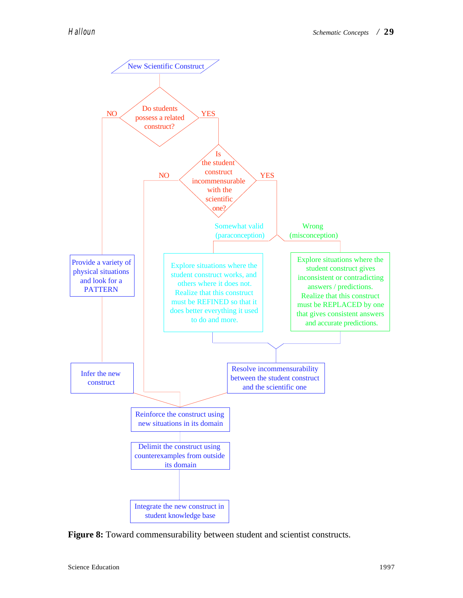

**Figure 8:** Toward commensurability between student and scientist constructs.